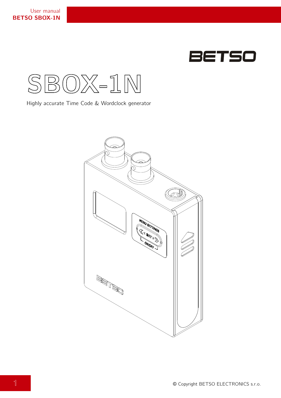



Highly accurate Time Code & Wordclock generator

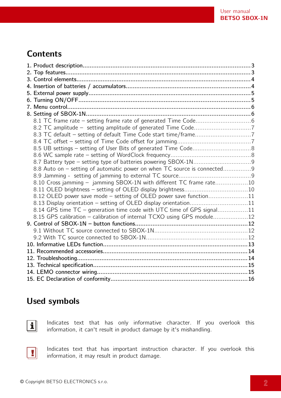## **Contents**

| 8.8 Auto on - setting of automatic power on when TC source is connected9 |  |
|--------------------------------------------------------------------------|--|
|                                                                          |  |
| 8.10 Cross jamming - jamming SBOX-1N with different TC frame rate10      |  |
|                                                                          |  |
| 8.12 OLED power save mode - setting of OLED power save function11        |  |
| 8.13 Display orientation - setting of OLED display orientation11         |  |
| 8.14 GPS time TC - generation time code with UTC time of GPS signal11    |  |
| 8.15 GPS calibration - calibration of internal TCXO using GPS module12   |  |
|                                                                          |  |
|                                                                          |  |
|                                                                          |  |
|                                                                          |  |
|                                                                          |  |
|                                                                          |  |
|                                                                          |  |
|                                                                          |  |
|                                                                          |  |

## **Used symbols**



Indicates text that has only informative character. If you overlook this information, it can't result in product damage by it's mishandling.



Indicates text that has important instruction character. If you overlook this information, it may result in product damage.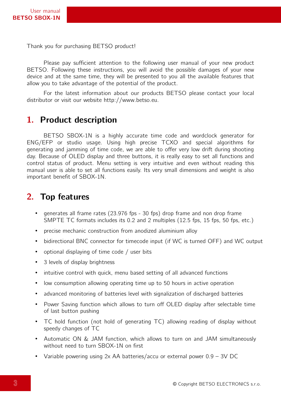Thank you for purchasing BETSO product!

Please pay sufficient attention to the following user manual of your new product BETSO. Following these instructions, you will avoid the possible damages of your new device and at the same time, they will be presented to you all the available features that allow you to take advantage of the potential of the product.

For the latest information about our products BETSO please contact your local distributor or visit our website http://www.betso.eu.

## **1. Product description**

BETSO SBOX-1N is a highly accurate time code and wordclock generator for ENG/EFP or studio usage. Using high precise TCXO and special algorithms for generating and jamming of time code, we are able to offer very low drift during shooting day. Because of OLED display and three buttons, it is really easy to set all functions and control status of product. Menu setting is very intuitive and even without reading this manual user is able to set all functions easily. Its very small dimensions and weight is also important benefit of SBOX-1N.

## **2. Top features**

- generates all frame rates (23.976 fps 30 fps) drop frame and non drop frame SMPTE TC formats includes its 0.2 and 2 multiples (12.5 fps, 15 fps, 50 fps, etc.)
- precise mechanic construction from anodized aluminium alloy
- bidirectional BNC connector for timecode input (if WC is turned OFF) and WC output
- optional displaying of time code / user bits
- 3 levels of display brightness
- intuitive control with quick, menu based setting of all advanced functions
- low consumption allowing operating time up to 50 hours in active operation
- advanced monitoring of batteries level with signalization of discharged batteries
- Power Saving function which allows to turn off OLED display after selectable time of last button pushing
- TC hold function (not hold of generating TC) allowing reading of display without speedy changes of TC
- Automatic ON & JAM function, which allows to turn on and JAM simultaneously without need to turn SBOX-1N on first
- Variable powering using 2x AA batteries/accu or external power 0.9 3V DC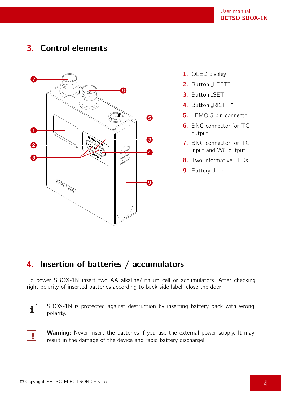# **3. Control elements**



- **1.** OLED displey
- 2. Button "LEFT"
- 3. Button "SET"
- 4. Button "RIGHT"
- **5.** LEMO 5-pin connector
- **6.** BNC connector for TC output
- **7.** BNC connector for TC input and WC output
- **8.** Two informative LEDs
- **9.** Battery door

## **4. Insertion of batteries / accumulators**

To power SBOX-1N insert two AA alkaline/lithium cell or accumulators. After checking right polarity of inserted batteries according to back side label, close the door.



SBOX-1N is protected against destruction by inserting battery pack with wrong polarity.



**Warning:** Never insert the batteries if you use the external power supply. It may result in the damage of the device and rapid battery discharge!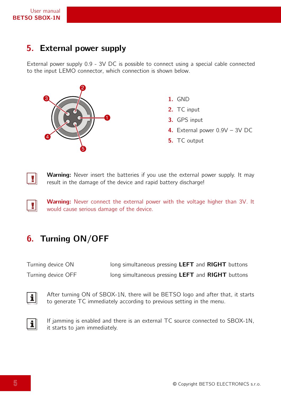## **5. External power supply**

External power supply 0.9 - 3V DC is possible to connect using a special cable connected to the input LEMO connector, which connection is shown below.



- **1.** GND
- **2.** TC input
- **3.** GPS input
- **4.** External power 0.9V 3V DC
- **5.** TC output



 $\blacksquare$ 

**Warning:** Never insert the batteries if you use the external power supply. It may result in the damage of the device and rapid battery discharge!

**Warning:** Never connect the external power with the voltage higher than 3V. It would cause serious damage of the device.

# **6. Turning ON/OFF**

| Turning device ON  | long simultaneous pressing LEFT and RIGHT buttons |
|--------------------|---------------------------------------------------|
| Turning device OFF | long simultaneous pressing LEFT and RIGHT buttons |

After turning ON of SBOX-1N, there will be BETSO logo and after that, it starts to generate TC immediately according to previous setting in the menu.



If jamming is enabled and there is an external TC source connected to SBOX-1N, it starts to jam immediately.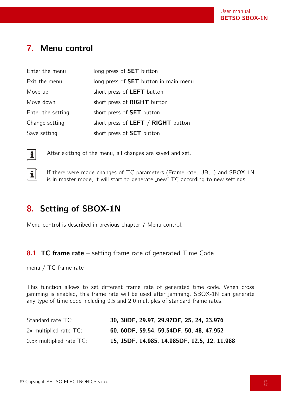# <span id="page-5-0"></span>**7. Menu control**

| Enter the menu    | long press of <b>SET</b> button              |
|-------------------|----------------------------------------------|
| Exit the menu     | long press of <b>SET</b> button in main menu |
| Move up           | short press of LEFT button                   |
| Move down         | short press of RIGHT button                  |
| Enter the setting | short press of <b>SET</b> button             |
| Change setting    | short press of LEFT / RIGHT button           |
| Save setting      | short press of <b>SET</b> button             |



 $\mathbf{i}$ 

After exitting of the menu, all changes are saved and set.

If there were made changes of TC parameters (Frame rate, UB,..) and SBOX-1N is in master mode, it will start to generate "new" TC according to new settings.

## **8. Setting of SBOX-1N**

Menu control is described in previous chapter [7](#page-5-0) [Menu control.](#page-5-0)

#### **8.1 TC frame rate** – setting frame rate of generated Time Code

menu / TC frame rate

This function allows to set different frame rate of generated time code. When cross jamming is enabled, this frame rate will be used after jamming. SBOX-1N can generate any type of time code including 0.5 and 2.0 multiples of standard frame rates.

| Standard rate TC:             | 30, 30DF, 29.97, 29.97DF, 25, 24, 23.976     |
|-------------------------------|----------------------------------------------|
| $2x$ multiplied rate $TC$ :   | 60, 60DF, 59.54, 59.54DF, 50, 48, 47.952     |
| $0.5x$ multiplied rate $TC$ : | 15, 15DF, 14.985, 14.985DF, 12.5, 12, 11.988 |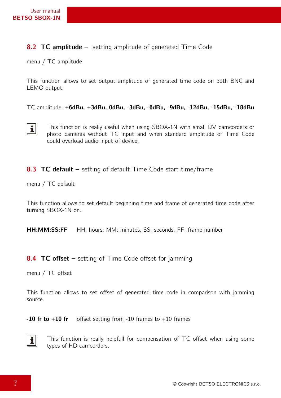#### **8.2 TC amplitude –** setting amplitude of generated Time Code

menu / TC amplitude

This function allows to set output amplitude of generated time code on both BNC and LEMO output.

TC amplitude: **+6dBu, +3dBu, 0dBu, -3dBu, -6dBu, -9dBu, -12dBu, -15dBu, -18dBu**



This function is really useful when using SBOX-1N with small DV camcorders or photo cameras without TC input and when standard amplitude of Time Code could overload audio input of device.

#### **8.3 TC default –** setting of default Time Code start time/frame

menu / TC default

This function allows to set default beginning time and frame of generated time code after turning SBOX-1N on.

**HH:MM:SS:FF** HH: hours, MM: minutes, SS: seconds, FF: frame number

#### **8.4 TC offset** – setting of Time Code offset for jamming

menu / TC offset

This function allows to set offset of generated time code in comparison with jamming source.

**-10 fr to +10 fr** offset setting from -10 frames to +10 frames



This function is really helpfull for compensation of TC offset when using some types of HD camcorders.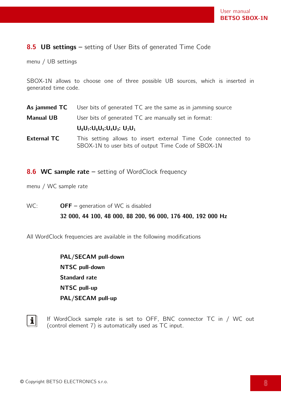## **8.5 UB settings –** setting of User Bits of generated Time Code

menu / UB settings

SBOX-1N allows to choose one of three possible UB sources, which is inserted in generated time code.

|                    | As jammed $TC$ User bits of generated $TC$ are the same as in jamming source                                         |
|--------------------|----------------------------------------------------------------------------------------------------------------------|
| <b>Manual UB</b>   | User bits of generated TC are manually set in format:                                                                |
|                    | $U_8U_7:U_6U_5:U_4U_3:U_2U_1$                                                                                        |
| <b>External TC</b> | This setting allows to insert external Time Code connected to<br>SBOX-1N to user bits of output Time Code of SBOX-1N |

**8.6 WC sample rate** – setting of WordClock frequency

menu / WC sample rate

WC: **OFF –** generation of WC is disabled **32 000, 44 100, 48 000, 88 200, 96 000, 176 400, 192 000 Hz**

All WordClock frequencies are available in the following modifications

**PAL/SECAM pull-down NTSC pull-down Standard rate NTSC pull-up PAL/SECAM pull-up**



If WordClock sample rate is set to OFF, BNC connector TC in / WC out (control element 7) is automatically used as TC input.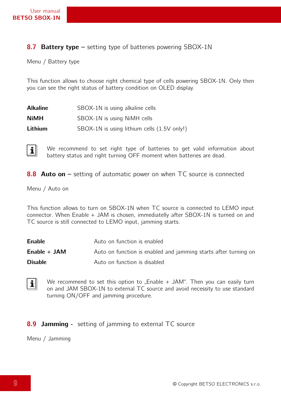#### **8.7 Battery type –** setting type of batteries powering SBOX-1N

Menu / Battery type

This function allows to choose right chemical type of cells powering SBOX-1N. Only then you can see the right status of battery condition on OLED display.

| <b>Alkaline</b> | SBOX-1N is using alkaline cells             |
|-----------------|---------------------------------------------|
| <b>NiMH</b>     | SBOX-1N is using NiMH cells                 |
| Lithium         | SBOX-1N is using lithium cells (1.5V only!) |

 $\mathbf{i}$ We recommend to set right type of batteries to get valid information about battery status and right turning OFF moment when batteries are dead.

**8.8 Auto on** – setting of automatic power on when TC source is connected

Menu / Auto on

This function allows to turn on SBOX-1N when TC source is connected to LEMO input connector. When Enable + JAM is chosen, immediatelly after SBOX-1N is turned on and TC source is still connected to LEMO input, jamming starts.

| <b>Enable</b>  | Auto on function is enabled                                     |
|----------------|-----------------------------------------------------------------|
| Enable $+$ JAM | Auto on function is enabled and jamming starts after turning on |
| <b>Disable</b> | Auto on function is disabled                                    |

We recommend to set this option to  $\pi$ . Enable + JAM". Then you can easily turn  $\mathbf{i}$ on and JAM SBOX-1N to external TC source and avoid necessity to use standard turning ON/OFF and jamming procedure.

#### **8.9 Jamming -** setting of jamming to external TC source

Menu / Jamming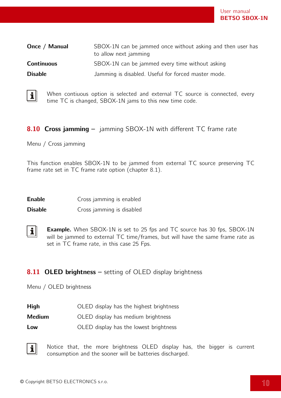| Once / Manual     | SBOX-1N can be jammed once without asking and then user has<br>to allow next jamming |
|-------------------|--------------------------------------------------------------------------------------|
| <b>Continuous</b> | SBOX-1N can be jammed every time without asking                                      |
| <b>Disable</b>    | Jamming is disabled. Useful for forced master mode.                                  |



When contiuous option is selected and external TC source is connected, every time TC is changed, SBOX-1N jams to this new time code.

#### **8.10 Cross jamming –** jamming SBOX-1N with different TC frame rate

Menu / Cross jamming

This function enables SBOX-1N to be jammed from external TC source preserving TC frame rate set in TC frame rate option (chapter 8.1).

| <b>Enable</b> | Cross jamming is enabled |  |  |  |
|---------------|--------------------------|--|--|--|
|---------------|--------------------------|--|--|--|

**Disable Cross** jamming is disabled

 $\mathbf{i}$ **Example.** When SBOX-1N is set to 25 fps and TC source has 30 fps, SBOX-1N will be jammed to external TC time/frames, but will have the same frame rate as set in TC frame rate, in this case 25 Fps.

#### **8.11 OLED brightness** – setting of OLED display brightness

Menu / OLED brightness

| <b>High</b><br>OLED display has the highest brightness |  |
|--------------------------------------------------------|--|
|--------------------------------------------------------|--|

- **Medium OLED** display has medium brightness
- **Low** OLED display has the lowest brightness



Notice that, the more brightness OLED display has, the bigger is current consumption and the sooner will be batteries discharged.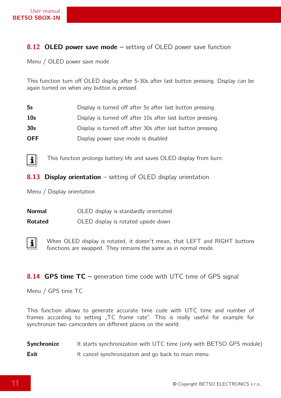## **8.12 OLED power save mode –** setting of OLED power save function

Menu / OLED power save mode

This function turn off OLED display after 5-30s after last button pressing. Display can be again turned on when any button is pressed.

| 5s              | Display is turned off after 5s after last button pressing.  |
|-----------------|-------------------------------------------------------------|
| 10 <sub>s</sub> | Display is turned off after 10s after last button pressing. |
| 30 <sub>s</sub> | Display is turned off after 30s after last button pressing. |
| <b>OFF</b>      | Display power save mode is disabled                         |



This function prolongs battery life and saves OLED display from burn.

**8.13 Display orientation** – setting of OLED display orientation

Menu / Display orientation

| <b>Normal</b> |  |  |  | OLED display is standardly orientated |  |
|---------------|--|--|--|---------------------------------------|--|
|---------------|--|--|--|---------------------------------------|--|

**Rotated OLED** display is rotated upside down



When OLED display is rotated, it doesn't mean, that LEFT and RIGHT buttons functions are swapped. They remains the same as in normal mode.

#### **8.14 GPS time TC** – generation time code with UTC time of GPS signal

Menu / GPS time TC

This function allows to generate accurate time code with UTC time and number of frames according to setting "TC frame rate". This is really useful for example for synchronize two camcorders on different places on the world.

| Synchronize | It starts synchronization with UTC time (only with BETSO GPS module) |
|-------------|----------------------------------------------------------------------|
| <b>Exit</b> | It cancel synchronization and go back to main menu                   |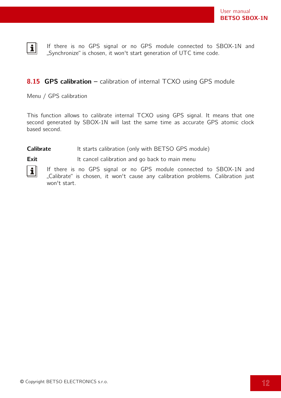

If there is no GPS signal or no GPS module connected to SBOX-1N and "Synchronize" is chosen, it won't start generation of UTC time code.

## **8.15 GPS calibration –** calibration of internal TCXO using GPS module

Menu / GPS calibration

This function allows to calibrate internal TCXO using GPS signal. It means that one second generated by SBOX-1N will last the same time as accurate GPS atomic clock based second.

#### **Calibrate** It starts calibration (only with BETSO GPS module)

**Exit** It cancel calibration and go back to main menu



If there is no GPS signal or no GPS module connected to SBOX-1N and "Calibrate" is chosen, it won't cause any calibration problems. Calibration just won't start.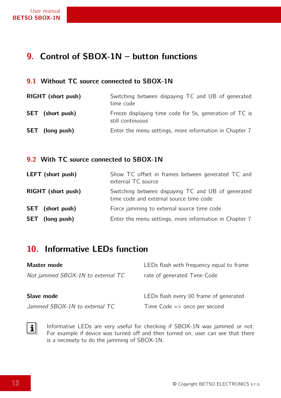## **9. Control of SBOX-1N – button functions**

#### **9.1 Without TC source connected to SBOX-1N**

| <b>RIGHT</b> (short push) | Switching between dispaying TC and UB of generated<br>time code             |
|---------------------------|-----------------------------------------------------------------------------|
| <b>SET</b> (short push)   | Freeze displaying time code for 5s, generation of TC is<br>still continuous |
| <b>SET</b> (long push)    | Enter the menu settings, more information in Chapter 7                      |

#### **9.2 With TC source connected to SBOX-1N**

| <b>LEFT</b> (short push)  | Show TC offset in frames between generated TC and<br>external TC source                       |
|---------------------------|-----------------------------------------------------------------------------------------------|
| <b>RIGHT</b> (short push) | Switching between dispaying TC and UB of generated<br>time code and external source time code |
| <b>SET</b> (short push)   | Force jamming to external source time code                                                    |
| <b>SET</b> (long push)    | Enter the menu settings, more information in Chapter 7                                        |

## **10. Informative LEDs function**

| Master mode                       | LEDs flash with frequency equal to frame |
|-----------------------------------|------------------------------------------|
| Not jammed SBOX-1N to external TC | rate of generated Time Code              |
| Slave mode                        | LEDs flash every 00 frame of generated   |
| Jammed SBOX-1N to external TC     | Time Code $\Rightarrow$ once per second  |

Informative LEDs are very useful for checking if SBOX-1N was jammed or not. For example if device was turned off and then turned on, user can see that there is a necessity to do the jamming of SBOX-1N.

 $\boxed{\mathbf{i}}$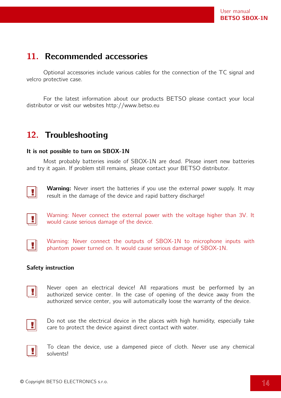## **11. Recommended accessories**

Optional accessories include various cables for the connection of the TC signal and velcro protective case.

For the latest information about our products BETSO please contact your local distributor or visit our websites http://www.betso.eu

## **12. Troubleshooting**

#### **It is not possible to turn on SBOX-1N**

Most probably batteries inside of SBOX-1N are dead. Please insert new batteries and try it again. If problem still remains, please contact your BETSO distributor.



**Warning:** Never insert the batteries if you use the external power supply. It may result in the damage of the device and rapid battery discharge!



Warning: Never connect the external power with the voltage higher than 3V. It would cause serious damage of the device.



Warning: Never connect the outputs of SBOX-1N to microphone inputs with phantom power turned on. It would cause serious damage of SBOX-1N.

#### **Safety instruction**

Never open an electrical device! All reparations must be performed by an  $\mathbf{v}$ authorized service center. In the case of opening of the device away from the authorized service center, you will automatically loose the warranty of the device.



Do not use the electrical device in the places with high humidity, especially take care to protect the device against direct contact with water.



To clean the device, use a dampened piece of cloth. Never use any chemical solvents!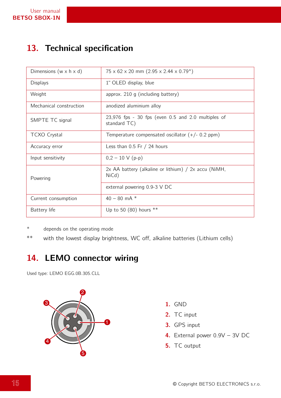# **13. Technical specification**

| Dimensions ( $w \times h \times d$ ) | $75 \times 62 \times 20$ mm $(2.95 \times 2.44 \times 0.79)$         |
|--------------------------------------|----------------------------------------------------------------------|
| <b>Displays</b>                      | 1" OLED display, blue                                                |
| Weight                               | approx. $210$ g (including battery)                                  |
| Mechanical construction              | anodized aluminium alloy                                             |
| SMPTE TC signal                      | $23,976$ fps - 30 fps (even 0.5 and 2.0 multiples of<br>standard TC) |
| <b>TCXO Crystal</b>                  | Temperature compensated oscillator $(+/- 0.2$ ppm)                   |
| Accuracy error                       | Less than $0.5$ Fr $/$ 24 hours                                      |
| Input sensitivity                    | $0,2 - 10 \text{ V}$ (p-p)                                           |
| Powering                             | $2x$ AA battery (alkaline or lithium) / $2x$ accu (NiMH,<br>NiCd)    |
|                                      | external powering 0.9-3 V DC                                         |
| Current consumption                  | $40 - 80$ mA $*$                                                     |
| Battery life                         | Up to 50 (80) hours $**$                                             |

\* depends on the operating mode

\*\* with the lowest display brightness, WC off, alkaline batteries (Lithium cells)

## **14. LEMO connector wiring**

Used type: LEMO EGG.0B.305.CLL



- **1.** GND
- **2.** TC input
- **3.** GPS input
- **4.** External power 0.9V 3V DC
- **5.** TC output